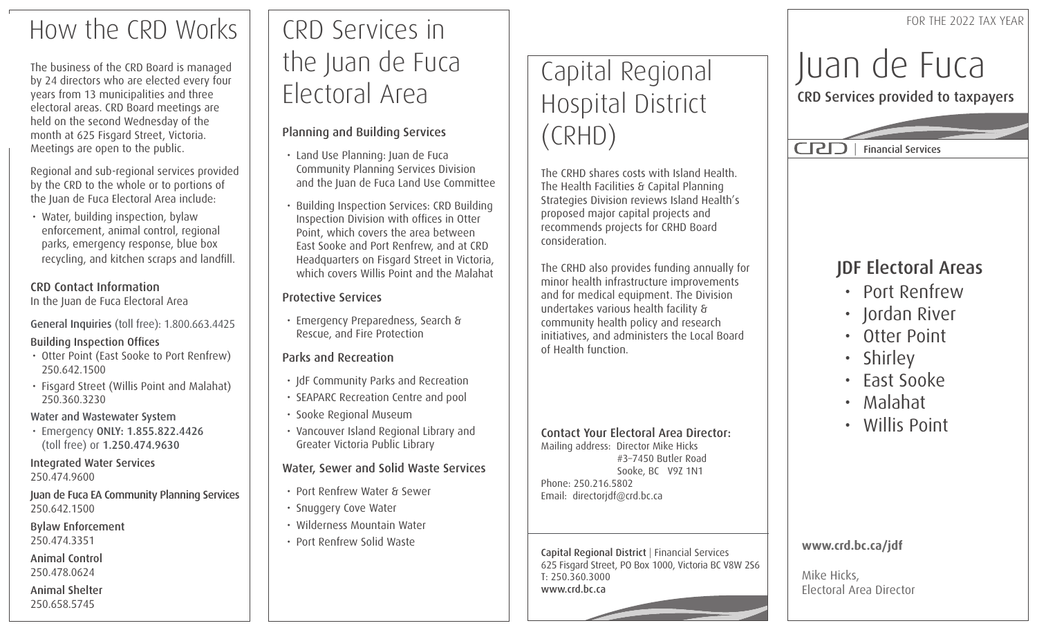# How the CRD Works

The business of the CRD Board is managed by 24 directors who are elected every four years from 13 municipalities and three electoral areas. CRD Board meetings are held on the second Wednesday of the month at 625 Fisgard Street, Victoria. Meetings are open to the public.

Regional and sub-regional services provided by the CRD to the whole or to portions of the Juan de Fuca Electoral Area include:

• Water, building inspection, bylaw enforcement, animal control, regional parks, emergency response, blue box recycling, and kitchen scraps and landfill.

### CRD Contact Information

In the Juan de Fuca Electoral Area

General Inquiries (toll free): 1.800.663.4425

### Building Inspection Offices

- Otter Point (East Sooke to Port Renfrew) 250.642.1500
- Fisgard Street (Willis Point and Malahat) 250.360.3230

### Water and Wastewater System

• Emergency ONLY: 1.855.822.4426 (toll free) or 1.250.474.9630

### Integrated Water Services 250.474.9600

Juan de Fuca EA Community Planning Services 250.642.1500

### Bylaw Enforcement 250.474.3351

Animal Control 250.478.0624

Animal Shelter 250.658.5745

# CRD Services in the Juan de Fuca Electoral Area

### Planning and Building Services

- Land Use Planning: Juan de Fuca Community Planning Services Division and the Juan de Fuca Land Use Committee
- Building Inspection Services: CRD Building Inspection Division with offices in Otter Point, which covers the area between East Sooke and Port Renfrew, and at CRD Headquarters on Fisgard Street in Victoria, which covers Willis Point and the Malahat

### Protective Services

• Emergency Preparedness, Search & Rescue, and Fire Protection

### Parks and Recreation

- JdF Community Parks and Recreation
- SEAPARC Recreation Centre and pool
- Sooke Regional Museum
- Vancouver Island Regional Library and Greater Victoria Public Library

### Water, Sewer and Solid Waste Services

- Port Renfrew Water & Sewer
- Snuggery Cove Water
- Wilderness Mountain Water
- Port Renfrew Solid Waste

# Capital Regional Hospital District (CRHD)

The CRHD shares costs with Island Health. The Health Facilities & Capital Planning Strategies Division reviews Island Health's proposed major capital projects and recommends projects for CRHD Board consideration.

The CRHD also provides funding annually for minor health infrastructure improvements and for medical equipment. The Division undertakes various health facility & community health policy and research initiatives, and administers the Local Board of Health function.

#### Contact Your Electoral Area Director: Mailing address: Director Mike Hicks #3–7450 Butler Road Sooke, BC V9Z 1N1 Phone: 250.216.5802

Email: directorjdf@crd.bc.ca

Capital Regional District | Financial Services 625 Fisgard Street, PO Box 1000, Victoria BC V8W 2S6 T: 250.360.3000 www.crd.bc.ca

# Juan de Fuca

CRD Services provided to taxpayers



### JDF Electoral Areas

- Port Renfrew
- Jordan River
- Otter Point
- Shirley
- East Sooke
- Malahat
- Willis Point

### **www.crd.bc.ca/jdf**

Mike Hicks, Electoral Area Director